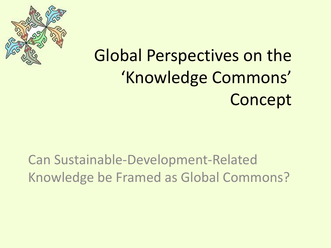

#### Global Perspectives on the 'Knowledge Commons' Concept

#### Can Sustainable-Development-Related Knowledge be Framed as Global Commons?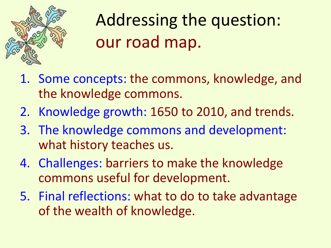

#### Addressing the question: our road map.

- 1. Some concepts: the commons, knowledge, and the knowledge commons.
- 2. Knowledge growth: 1650 to 2010, and trends.
- 3. The knowledge commons and development: what history teaches us.
- 4. Challenges: barriers to make the knowledge commons useful for development.
- 5. Final reflections: what to do to take advantage of the wealth of knowledge.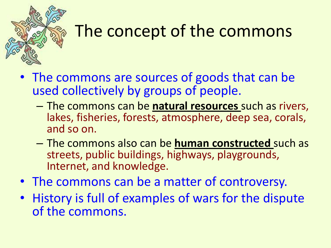

#### The concept of the commons

- The commons are sources of goods that can be used collectively by groups of people.
	- The commons can be **natural resources** such as rivers, lakes, fisheries, forests, atmosphere, deep sea, corals, and so on.
	- The commons also can be **human constructed** such as streets, public buildings, highways, playgrounds, Internet, and knowledge.
- The commons can be a matter of controversy.
- History is full of examples of wars for the dispute of the commons.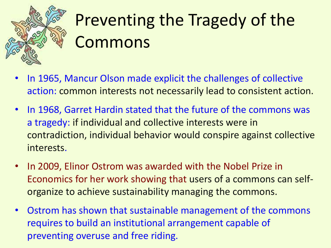

## Preventing the Tragedy of the Commons

- In 1965, Mancur Olson made explicit the challenges of collective action: common interests not necessarily lead to consistent action.
- In 1968, Garret Hardin stated that the future of the commons was a tragedy: if individual and collective interests were in contradiction, individual behavior would conspire against collective interests.
- In 2009, Elinor Ostrom was awarded with the Nobel Prize in Economics for her work showing that users of a commons can selforganize to achieve sustainability managing the commons.
- Ostrom has shown that sustainable management of the commons requires to build an institutional arrangement capable of preventing overuse and free riding.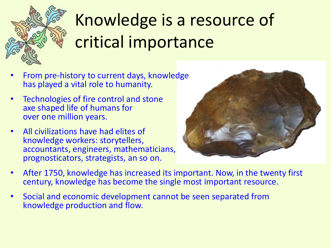

# Knowledge is a resource of critical importance

- From pre-history to current days, knowledge has played a vital role to humanity.
- Technologies of fire control and stone axe shaped life of humans for over one million years.
- All civilizations have had elites of knowledge workers: storytellers, accountants, engineers, mathematicians, prognosticators, strategists, an so on.



- After 1750, knowledge has increased its important. Now, in the twenty first century, knowledge has become the single most important resource.
- Social and economic development cannot be seen separated from knowledge production and flow.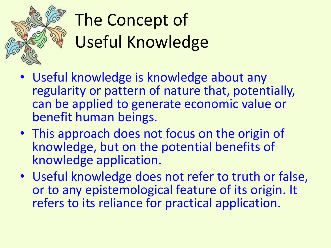

# The Concept of Useful Knowledge

- Useful knowledge is knowledge about any regularity or pattern of nature that, potentially, can be applied to generate economic value or benefit human beings.
- This approach does not focus on the origin of knowledge, but on the potential benefits of knowledge application.
- Useful knowledge does not refer to truth or false, or to any epistemological feature of its origin. It refers to its reliance for practical application.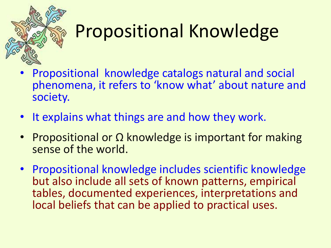

# Propositional Knowledge

- Propositional knowledge catalogs natural and social phenomena, it refers to 'know what' about nature and society.
- It explains what things are and how they work.
- Propositional or Ω knowledge is important for making sense of the world.
- Propositional knowledge includes scientific knowledge but also include all sets of known patterns, empirical tables, documented experiences, interpretations and local beliefs that can be applied to practical uses.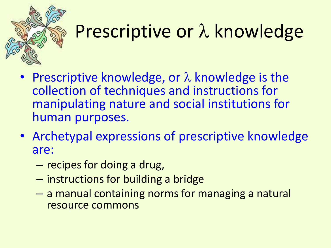

# Prescriptive or  $\lambda$  knowledge

- Prescriptive knowledge, or  $\lambda$  knowledge is the collection of techniques and instructions for manipulating nature and social institutions for human purposes.
- Archetypal expressions of prescriptive knowledge are:
	- recipes for doing a drug,
	- instructions for building a bridge
	- a manual containing norms for managing a natural resource commons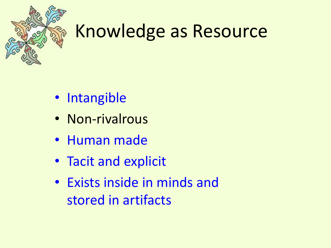

#### Knowledge as Resource

- Intangible
- Non-rivalrous
- Human made
- Tacit and explicit
- Exists inside in minds and stored in artifacts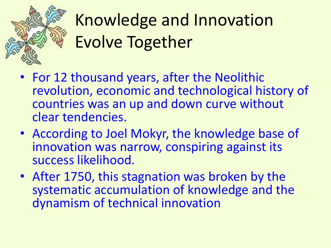

# Knowledge and Innovation Evolve Together

- For 12 thousand years, after the Neolithic revolution, economic and technological history of countries was an up and down curve without clear tendencies.
- According to Joel Mokyr, the knowledge base of innovation was narrow, conspiring against its success likelihood.
- After 1750, this stagnation was broken by the systematic accumulation of knowledge and the dynamism of technical innovation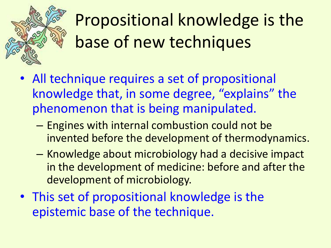

## Propositional knowledge is the base of new techniques

- All technique requires a set of propositional knowledge that, in some degree, "explains" the phenomenon that is being manipulated.
	- Engines with internal combustion could not be invented before the development of thermodynamics.
	- Knowledge about microbiology had a decisive impact in the development of medicine: before and after the development of microbiology.
- This set of propositional knowledge is the epistemic base of the technique.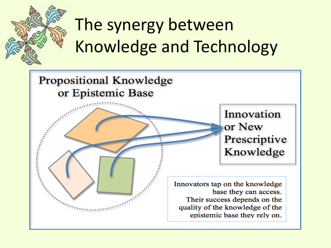

# The synergy between Knowledge and Technology

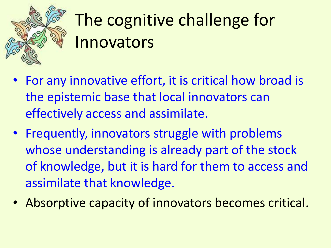

## The cognitive challenge for Innovators

- For any innovative effort, it is critical how broad is the epistemic base that local innovators can effectively access and assimilate.
- Frequently, innovators struggle with problems whose understanding is already part of the stock of knowledge, but it is hard for them to access and assimilate that knowledge.
- Absorptive capacity of innovators becomes critical.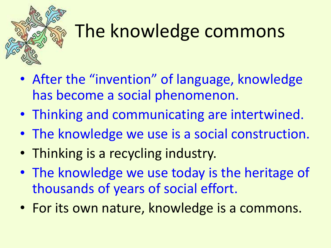

#### The knowledge commons

- After the "invention" of language, knowledge has become a social phenomenon.
- Thinking and communicating are intertwined.
- The knowledge we use is a social construction.
- Thinking is a recycling industry.
- The knowledge we use today is the heritage of thousands of years of social effort.
- For its own nature, knowledge is a commons.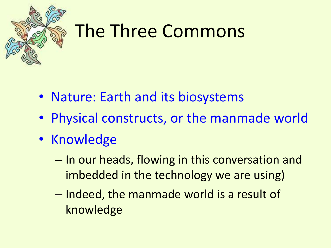

#### The Three Commons

- Nature: Earth and its biosystems
- Physical constructs, or the manmade world
- Knowledge
	- In our heads, flowing in this conversation and imbedded in the technology we are using)
	- Indeed, the manmade world is a result of knowledge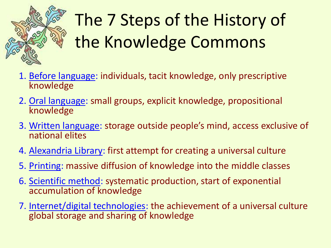

# The 7 Steps of the History of the Knowledge Commons

- 1. Before language: individuals, tacit knowledge, only prescriptive knowledge
- 2. Oral language: small groups, explicit knowledge, propositional knowledge
- 3. Written language: storage outside people's mind, access exclusive of national elites
- 4. Alexandria Library: first attempt for creating a universal culture
- 5. Printing: massive diffusion of knowledge into the middle classes
- 6. Scientific method: systematic production, start of exponential accumulation of knowledge
- 7. Internet/digital technologies: the achievement of a universal culture global storage and sharing of knowledge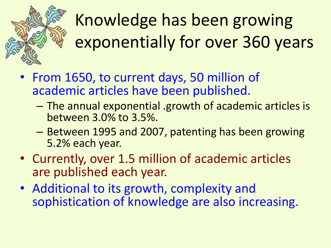

# Knowledge has been growing exponentially for over 360 years

- From 1650, to current days, 50 million of academic articles have been published.
	- The annual exponential .growth of academic articles is between 3.0% to 3.5%.
	- Between 1995 and 2007, patenting has been growing 5.2% each year.
- Currently, over 1.5 million of academic articles are published each year.
- Additional to its growth, complexity and sophistication of knowledge are also increasing.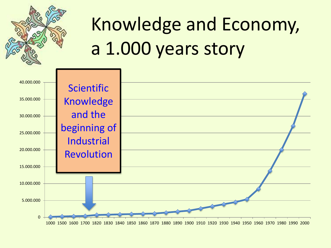

# Knowledge and Economy, a 1.000 years story

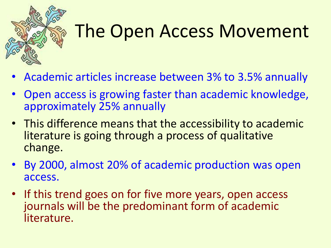

# The Open Access Movement

- Academic articles increase between 3% to 3.5% annually
- Open access is growing faster than academic knowledge, approximately 25% annually
- This difference means that the accessibility to academic literature is going through a process of qualitative change.
- By 2000, almost 20% of academic production was open access.
- If this trend goes on for five more years, open access journals will be the predominant form of academic literature.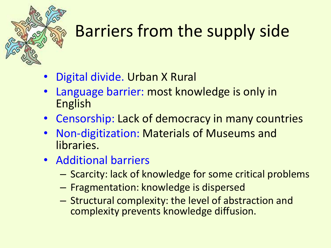#### Barriers from the supply side

- Digital divide. Urban X Rural
- Language barrier: most knowledge is only in English
- Censorship: Lack of democracy in many countries
- Non-digitization: Materials of Museums and libraries.
- Additional barriers
	- Scarcity: lack of knowledge for some critical problems
	- Fragmentation: knowledge is dispersed
	- Structural complexity: the level of abstraction and complexity prevents knowledge diffusion.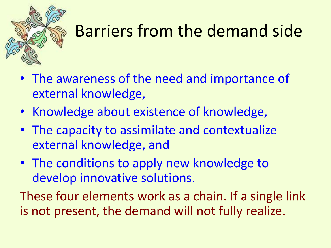

#### Barriers from the demand side

- The awareness of the need and importance of external knowledge,
- Knowledge about existence of knowledge,
- The capacity to assimilate and contextualize external knowledge, and
- The conditions to apply new knowledge to develop innovative solutions.

These four elements work as a chain. If a single link is not present, the demand will not fully realize.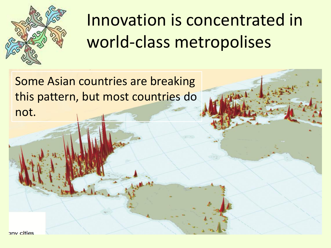

#### Innovation is concentrated in world-class metropolises

Some Asian countries are breaking this pattern, but most countries do not.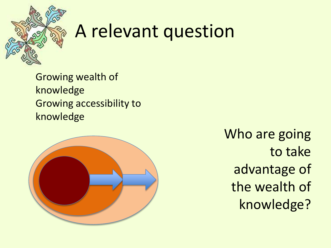

#### A relevant question

Growing wealth of knowledge Growing accessibility to knowledge



Who are going to take advantage of the wealth of knowledge?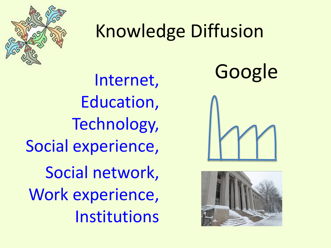

#### Knowledge Diffusion

Internet, Education, Technology, Social experience, Social network, Work experience, Institutions

Google



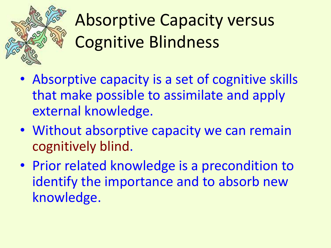

#### Absorptive Capacity versus Cognitive Blindness

- Absorptive capacity is a set of cognitive skills that make possible to assimilate and apply external knowledge.
- Without absorptive capacity we can remain cognitively blind.
- Prior related knowledge is a precondition to identify the importance and to absorb new knowledge.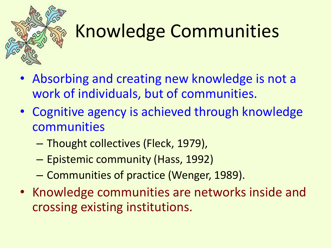

# Knowledge Communities

- Absorbing and creating new knowledge is not a work of individuals, but of communities.
- Cognitive agency is achieved through knowledge communities
	- Thought collectives (Fleck, 1979),
	- Epistemic community (Hass, 1992)
	- Communities of practice (Wenger, 1989).
- Knowledge communities are networks inside and crossing existing institutions.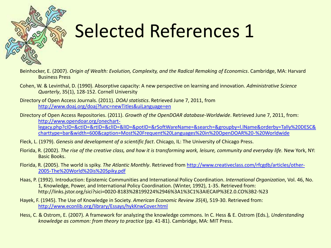

## Selected References 1

- Beinhocker, E. (2007). *Origin of Wealth: Evolution, Complexity, and the Radical Remaking of Economics*. Cambridge, MA: Harvard Business Press
- Cohen, W. & Levinthal, D. (1990). Absorptive capacity: A new perspective on learning and innovation. *Administrative Science Quarterly*, 35(1), 128-152. Cornell University
- Directory of Open Access Journals. (2011). *DOAJ statistics*. Retrieved June 7, 2011, from <http://www.doaj.org/doaj?func=newTitles&uiLanguage=en>
- Directory of Open Access Repositories. (2011). *Growth of the OpenDOAR database-Worldwide*. Retrieved June 7, 2011, from: [http://www.opendoar.org/onechart](http://www.opendoar.org/onechart-legacy.php?cID=&ctID=&rtID=&clID=&lID=&potID=&rSoftWareName=&search=&groupby=l.lName&orderby=Tally DESC&charttype=bar&width=600&caption=Most Frequent Languages in OpenDOAR - Worldwide)[legacy.php?cID=&ctID=&rtID=&clID=&lID=&potID=&rSoftWareName=&search=&groupby=l.lName&orderby=Tally%20DESC&](http://www.opendoar.org/onechart-legacy.php?cID=&ctID=&rtID=&clID=&lID=&potID=&rSoftWareName=&search=&groupby=l.lName&orderby=Tally DESC&charttype=bar&width=600&caption=Most Frequent Languages in OpenDOAR - Worldwide) [charttype=bar&width=600&caption=Most%20Frequent%20Languages%20in%20OpenDOAR%20-%20Worldwide](http://www.opendoar.org/onechart-legacy.php?cID=&ctID=&rtID=&clID=&lID=&potID=&rSoftWareName=&search=&groupby=l.lName&orderby=Tally DESC&charttype=bar&width=600&caption=Most Frequent Languages in OpenDOAR - Worldwide)
- Fleck, L. (1979). *Genesis and development of a scientific fact*. Chicago, IL: The University of Chicago Press.
- Florida, R. (2002). *The rise of the creative class, and how it is transforming work, leisure, community and everyday life.* New York, NY: Basic Books.
- Florida, R. (2005). The world is spiky. *The Atlantic Monthly*. Retrieved from [http://www.creativeclass.com/rfcgdb/articles/other-](http://www.creativeclass.com/rfcgdb/articles/other-2005-The World is Spiky.pdf)[2005-The%20World%20is%20Spiky.pdf](http://www.creativeclass.com/rfcgdb/articles/other-2005-The World is Spiky.pdf)
- Haas, P. (1992). Introduction: Epistemic Communities and International Policy Coordination. *International Organization*, Vol. 46, No. 1, Knowledge, Power, and International Policy Coordination. (Winter, 1992), 1-35. Retrieved from: http://links.jstor.org/sici?sici=0020-8183%28199224%2946%3A1%3C1%3AIECAIP%3E2.0.CO%3B2-%23
- Hayek, F. (1945). The Use of Knowledge in Society. *American Economic Review 35*(4), 519-30. Retrieved from: <http://www.econlib.org/library/Essays/hykKnwCover.html>
- Hess, C. & Ostrom, E. (2007). A framework for analyzing the knowledge commons. In C. Hess & E. Ostrom (Eds.), *Understanding knowledge as common: from theory to practice* (pp. 41-81). Cambridge, MA: MIT Press.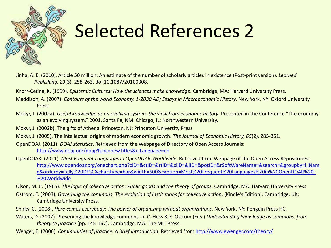

## Selected References 2

- Jinha, A. E. (2010). Article 50 million: An estimate of the number of scholarly articles in existence (Post-print version). *Learned Publishing, 23*(3), 258-263. doi:10.1087/20100308.
- Knorr-Cetina, K. (1999). *Epistemic Cultures: How the sciences make knowledge*. Cambridge, MA: Harvard University Press.
- Maddison, A. (2007). *Contours of the world Economy, 1-2030 AD; Essays in Macroeconomic History.* New York, NY: Oxford University Press.
- Mokyr, J. (2002a). *Useful knowledge as en evolving system: the view from economic history*. Presented in the Conference "The economy as an evolving system," 2001, Santa Fe, NM. Chicago, IL: Northwestern University.
- Mokyr, J. (2002b). The gifts of Athena. Princeton, NJ: Princeton University Press
- Mokyr, J. (2005). The intellectual origins of modern economic growth. *The Journal of Economic History, 65*(2), 285-351.
- OpenDOAJ. (2011). *DOAJ statistics*. Retrieved from the Webpage of Directory of Open Access Journals: <http://www.doaj.org/doaj?func=newTitles&uiLanguage=en>
- OpenDOAR. (2011). *Most Frequent Languages in OpenDOAR-Worldwide*. Retrieved from Webpage of the Open Access Repositories: [http://www.opendoar.org/onechart.php?cID=&ctID=&rtID=&clID=&lID=&potID=&rSoftWareName=&search=&groupby=l.lNam](http://www.opendoar.org/onechart.php?cID=&ctID=&rtID=&clID=&lID=&potID=&rSoftWareName=&search=&groupby=l.lName&orderby=Tally DESC&charttype=bar&width=600&caption=Most Frequent Languages in OpenDOAR - Worldwide) [e&orderby=Tally%20DESC&charttype=bar&width=600&caption=Most%20Frequent%20Languages%20in%20OpenDOAR%20-](http://www.opendoar.org/onechart.php?cID=&ctID=&rtID=&clID=&lID=&potID=&rSoftWareName=&search=&groupby=l.lName&orderby=Tally DESC&charttype=bar&width=600&caption=Most Frequent Languages in OpenDOAR - Worldwide) [%20Worldwide](http://www.opendoar.org/onechart.php?cID=&ctID=&rtID=&clID=&lID=&potID=&rSoftWareName=&search=&groupby=l.lName&orderby=Tally DESC&charttype=bar&width=600&caption=Most Frequent Languages in OpenDOAR - Worldwide)
- Olson, M. Jr. (1965). *The logic of collective action: Public goods and the theory of groups.* Cambridge, MA: Harvard University Press.
- Ostrom, E. (2003). *Governing the commons: The evolution of institutions for collective action*. (Kindle's Edition). Cambridge, UK: Cambridge University Press.
- Shirky, C. (2008). *Here comes everybody: The power of organizing without organizations.* New York, NY: Penguin Press HC.
- Waters, D. (2007). Preserving the knowledge commons. In C. Hess & E. Ostrom (Eds.) *Understanding knowledge as commons: from theory to practice* (pp. 145-167). Cambridge, MA: The MIT Press.
- Wenger, E. (2006). *Communities of practice: A brief introduction*. Retrieved from<http://www.ewenger.com/theory/>